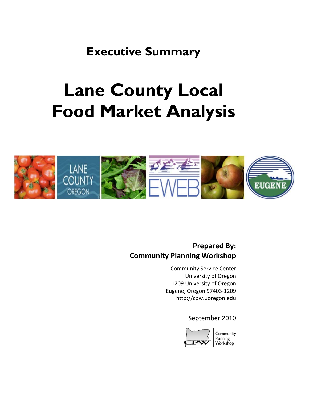**Executive Summary** 

# **Lane County Local Food Market Analysis**



# **Prepared By: Community Planning Workshop**

Community Service Center University of Oregon 1209 University of Oregon Eugene, Oregon 97403‐1209 http://cpw.uoregon.edu

## September 2010



Community Planning<br>Workshop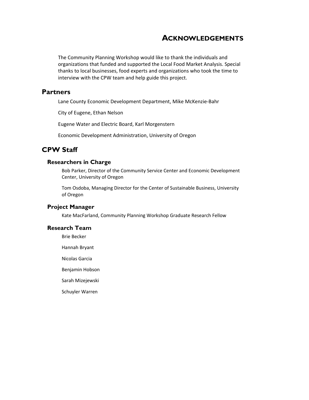## **ACKNOWLEDGEMENTS**

The Community Planning Workshop would like to thank the individuals and organizations that funded and supported the Local Food Market Analysis. Special thanks to local businesses, food experts and organizations who took the time to interview with the CPW team and help guide this project.

#### **Partners**

Lane County Economic Development Department, Mike McKenzie‐Bahr

City of Eugene, Ethan Nelson

Eugene Water and Electric Board, Karl Morgenstern

Economic Development Administration, University of Oregon

## **CPW Staff**

#### **Researchers in Charge**

Bob Parker, Director of the Community Service Center and Economic Development Center, University of Oregon

Tom Osdoba, Managing Director for the Center of Sustainable Business, University of Oregon

#### **Project Manager**

Kate MacFarland, Community Planning Workshop Graduate Research Fellow

#### **Research Team**

Brie Becker

Hannah Bryant

Nicolas Garcia

Benjamin Hobson

Sarah Mizejewski

Schuyler Warren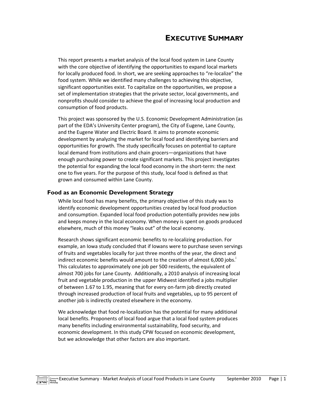# **EXECUTIVE SUMMARY**

This report presents a market analysis of the local food system in Lane County with the core objective of identifying the opportunities to expand local markets for locally produced food. In short, we are seeking approaches to "re-localize" the food system. While we identified many challenges to achieving this objective, significant opportunities exist. To capitalize on the opportunities, we propose a set of implementation strategies that the private sector, local governments, and nonprofits should consider to achieve the goal of increasing local production and consumption of food products.

This project was sponsored by the U.S. Economic Development Administration (as part of the EDA's University Center program), the City of Eugene, Lane County, and the Eugene Water and Electric Board. It aims to promote economic development by analyzing the market for local food and identifying barriers and opportunities for growth. The study specifically focuses on potential to capture local demand from institutions and chain grocers—organizations that have enough purchasing power to create significant markets. This project investigates the potential for expanding the local food economy in the short-term: the next one to five years. For the purpose of this study, local food is defined as that grown and consumed within Lane County.

#### **Food as an Economic Development Strategy**

While local food has many benefits, the primary objective of this study was to identify economic development opportunities created by local food production and consumption. Expanded local food production potentially provides new jobs and keeps money in the local economy. When money is spent on goods produced elsewhere, much of this money "leaks out" of the local economy.

Research shows significant economic benefits to re‐localizing production. For example, an Iowa study concluded that if Iowans were to purchase seven servings of fruits and vegetables locally for just three months of the year, the direct and indirect economic benefits would amount to the creation of almost 6,000 jobs. This calculates to approximately one job per 500 residents, the equivalent of almost 700 jobs for Lane County. Additionally, a 2010 analysis of increasing local fruit and vegetable production in the upper Midwest identified a jobs multiplier of between 1.67 to 1.95, meaning that for every on‐farm job directly created through increased production of local fruits and vegetables, up to 95 percent of another job is indirectly created elsewhere in the economy.

We acknowledge that food re-localization has the potential for many additional local benefits. Proponents of local food argue that a local food system produces many benefits including environmental sustainability, food security, and economic development. In this study CPW focused on economic development, but we acknowledge that other factors are also important.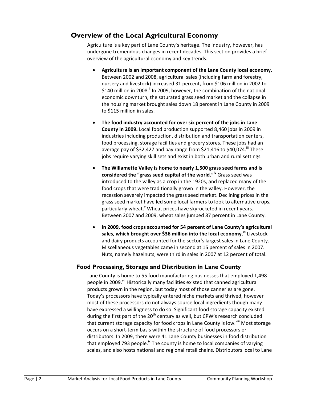# **Overview of the Local Agricultural Economy**

Agriculture is a key part of Lane County's heritage. The industry, however, has undergone tremendous changes in recent decades. This section provides a brief overview of the agricultural economy and key trends.

- **Agriculture is an important component of the Lane County local economy.** Between 2002 and 2008, agricultural sales (including farm and forestry, nursery and livestock) increased 31 percent, from \$106 million in 2002 to \$140 million in 2008.<sup>ii</sup> In 2009, however, the combination of the national economic downturn, the saturated grass seed market and the collapse in the housing market brought sales down 18 percent in Lane County in 2009 to \$115 million in sales.
- **The food industry accounted for over six percent of the jobs in Lane County in 2009.** Local food production supported 8,460 jobs in 2009 in industries including production, distribution and transportation centers, food processing, storage facilities and grocery stores. These jobs had an average pay of \$32,427 and pay range from \$21,416 to \$40,074. These jobs require varying skill sets and exist in both urban and rural settings.
- **The Willamette Valley is home to nearly 1,500 grass seed farms and is considered the "grass seed capital of the world."iv** Grass seed was introduced to the valley as a crop in the 1920s, and replaced many of the food crops that were traditionally grown in the valley. However, the recession severely impacted the grass seed market. Declining prices in the grass seed market have led some local farmers to look to alternative crops, particularly wheat.<sup>V</sup> Wheat prices have skyrocketed in recent years. Between 2007 and 2009, wheat sales jumped 87 percent in Lane County.
- **In 2009, food crops accounted for 54 percent of Lane County's agricultural sales, which brought over \$36 million into the local economy.vi** Livestock and dairy products accounted for the sector's largest sales in Lane County. Miscellaneous vegetables came in second at 15 percent of sales in 2007. Nuts, namely hazelnuts, were third in sales in 2007 at 12 percent of total.

## **Food Processing, Storage and Distribution in Lane County**

Lane County is home to 55 food manufacturing businesses that employed 1,498 people in 2009.<sup>vii</sup> Historically many facilities existed that canned agricultural products grown in the region, but today most of those canneries are gone. Today's processors have typically entered niche markets and thrived, however most of these processors do not always source local ingredients though many have expressed a willingness to do so. Significant food storage capacity existed during the first part of the  $20<sup>th</sup>$  century as well, but CPW's research concluded that current storage capacity for food crops in Lane County is low.<sup>viii</sup> Most storage occurs on a short‐term basis within the structure of food processors or distributors. In 2009, there were 41 Lane County businesses in food distribution that employed 793 people.<sup> $\alpha$ </sup> The county is home to local companies of varying scales, and also hosts national and regional retail chains. Distributors local to Lane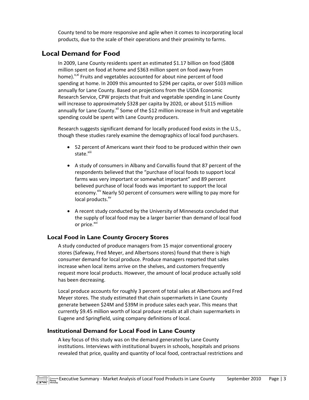County tend to be more responsive and agile when it comes to incorporating local products, due to the scale of their operations and their proximity to farms.

## **Local Demand for Food**

In 2009, Lane County residents spent an estimated \$1.17 billion on food (\$808 million spent on food at home and \$363 million spent on food away from home).<sup>x,xi</sup> Fruits and vegetables accounted for about nine percent of food spending at home. In 2009 this amounted to \$294 per capita, or over \$103 million annually for Lane County. Based on projections from the USDA Economic Research Service, CPW projects that fruit and vegetable spending in Lane County will increase to approximately \$328 per capita by 2020, or about \$115 million annually for Lane County. $x^{1/2}$  Some of the \$12 million increase in fruit and vegetable spending could be spent with Lane County producers.

Research suggests significant demand for locally produced food exists in the U.S., though these studies rarely examine the demographics of local food purchasers.

- 52 percent of Americans want their food to be produced within their own state.<sup>xiii</sup>
- A study of consumers in Albany and Corvallis found that 87 percent of the respondents believed that the "purchase of local foods to support local farms was very important or somewhat important" and 89 percent believed purchase of local foods was important to support the local economy.<sup>xiv</sup> Nearly 50 percent of consumers were willing to pay more for local products.<sup>xv</sup>
- A recent study conducted by the University of Minnesota concluded that the supply of local food may be a larger barrier than demand of local food or price.<sup>xvi</sup>

## **Local Food in Lane County Grocery Stores**

A study conducted of produce managers from 15 major conventional grocery stores (Safeway, Fred Meyer, and Albertsons stores) found that there is high consumer demand for local produce. Produce managers reported that sales increase when local items arrive on the shelves, and customers frequently request more local products. However, the amount of local produce actually sold has been decreasing.

Local produce accounts for roughly 3 percent of total sales at Albertsons and Fred Meyer stores. The study estimated that chain supermarkets in Lane County generate between \$24M and \$39M in produce sales each year**.** This means that currently \$9.45 million worth of local produce retails at all chain supermarkets in Eugene and Springfield, using company definitions of local.

#### **Institutional Demand for Local Food in Lane County**

A key focus of this study was on the demand generated by Lane County institutions. Interviews with institutional buyers in schools, hospitals and prisons revealed that price, quality and quantity of local food, contractual restrictions and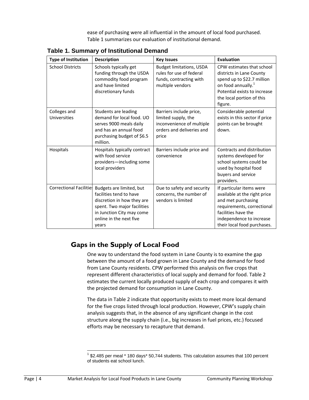ease of purchasing were all influential in the amount of local food purchased. Table 1 summarizes our evaluation of institutional demand.

| <b>Type of Institution</b>   | <b>Description</b>                                                                                                                                                                | <b>Key Issues</b>                                                                                                 | <b>Evaluation</b>                                                                                                                                                                              |
|------------------------------|-----------------------------------------------------------------------------------------------------------------------------------------------------------------------------------|-------------------------------------------------------------------------------------------------------------------|------------------------------------------------------------------------------------------------------------------------------------------------------------------------------------------------|
| <b>School Districts</b>      | Schools typically get<br>funding through the USDA<br>commodity food program<br>and have limited<br>discretionary funds                                                            | <b>Budget limitations, USDA</b><br>rules for use of federal<br>funds, contracting with<br>multiple vendors        | CPW estimates that school<br>districts in Lane County<br>spend up to \$22.7 million<br>on food annually. <sup>1</sup><br>Potential exists to increase<br>the local portion of this<br>figure.  |
| Colleges and<br>Universities | Students are leading<br>demand for local food. UO<br>serves 9000 meals daily<br>and has an annual food<br>purchasing budget of \$6.5<br>million.                                  | Barriers include price,<br>limited supply, the<br>inconvenience of multiple<br>orders and deliveries and<br>price | Considerable potential<br>exists in this sector if price<br>points can be brought<br>down.                                                                                                     |
| Hospitals                    | Hospitals typically contract<br>with food service<br>providers-including some<br>local providers                                                                                  | Barriers include price and<br>convenience                                                                         | Contracts and distribution<br>systems developed for<br>school systems could be<br>used by hospital food<br>buyers and service<br>providers.                                                    |
| Correctional Facilitie       | Budgets are limited, but<br>facilities tend to have<br>discretion in how they are<br>spent. Two major facilities<br>in Junction City may come<br>online in the next five<br>years | Due to safety and security<br>concerns, the number of<br>vendors is limited                                       | If particular items were<br>available at the right price<br>and met purchasing<br>requirements, correctional<br>facilities have the<br>independence to increase<br>their local food purchases. |

**Table 1. Summary of Institutional Demand** 

## **Gaps in the Supply of Local Food**

One way to understand the food system in Lane County is to examine the gap between the amount of a food grown in Lane County and the demand for food from Lane County residents. CPW performed this analysis on five crops that represent different characteristics of local supply and demand for food. Table 2 estimates the current locally produced supply of each crop and compares it with the projected demand for consumption in Lane County.

The data in Table 2 indicate that opportunity exists to meet more local demand for the five crops listed through local production. However, CPW's supply chain analysis suggests that, in the absence of any significant change in the cost structure along the supply chain (i.e., big increases in fuel prices, etc.) focused efforts may be necessary to recapture that demand.

<sup>&</sup>lt;u> Andreas Andrew American (</u>  $1$  \$2.485 per meal  $*$  180 days $*$  50,744 students. This calculation assumes that 100 percent of students eat school lunch.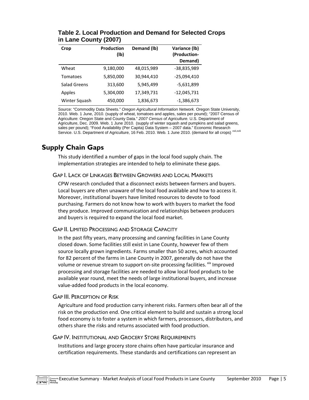| Crop                | Production<br>(Ib) | Demand (lb) | Variance (lb)<br>(Production-<br>Demand) |
|---------------------|--------------------|-------------|------------------------------------------|
| Wheat               | 9,180,000          | 48,015,989  | -38,835,989                              |
| Tomatoes            | 5,850,000          | 30,944,410  | $-25,094,410$                            |
| <b>Salad Greens</b> | 313,600            | 5,945,499   | $-5,631,899$                             |
| Apples              | 5,304,000          | 17,349,731  | $-12,045,731$                            |
| Winter Squash       | 450,000            | 1,836,673   | $-1,386,673$                             |

**Table 2. Local Production and Demand for Selected Crops in Lane County (2007)** 

Source: "Commodity Data Sheets." *Oregon Agricultural Information Network.* Oregon State University, 2010. Web. 1 June, 2010. (supply of wheat, tomatoes and apples, sales per pound); "2007 Census of Agriculture: Oregon State and County Data." *2007 Census of Agriculture.* U.S. Department of Agriculture, Dec. 2009. Web. 1 June 2010. (supply of winter squash and pumpkins and salad greens, sales per pound); "Food Availability (Per Capita) Data System – 2007 data." Economic Research Service. U.S. Department of Agriculture, 16 Feb. 2010. Web. 1 June 2010. (demand for all crops) xvii,xviii

## **Supply Chain Gaps**

This study identified a number of gaps in the local food supply chain. The implementation strategies are intended to help to eliminate these gaps.

#### GAP I. LACK OF LINKAGES BETWEEN GROWERS AND LOCAL MARKETS

CPW research concluded that a disconnect exists between farmers and buyers. Local buyers are often unaware of the local food available and how to access it. Moreover, institutional buyers have limited resources to devote to food purchasing. Farmers do not know how to work with buyers to market the food they produce. Improved communication and relationships between producers and buyers is required to expand the local food market.

#### GAP II. LIMITED PROCESSING AND STORAGE CAPACITY

In the past fifty years, many processing and canning facilities in Lane County closed down. Some facilities still exist in Lane County, however few of them source locally grown ingredients. Farms smaller than 50 acres, which accounted for 82 percent of the farms in Lane County in 2007, generally do not have the volume or revenue stream to support on-site processing facilities. xix Improved processing and storage facilities are needed to allow local food products to be available year round, meet the needs of large institutional buyers, and increase value‐added food products in the local economy.

#### GAP III. PERCEPTION OF RISK

Agriculture and food production carry inherent risks. Farmers often bear all of the risk on the production end. One critical element to build and sustain a strong local food economy is to foster a system in which farmers, processors, distributors, and others share the risks and returns associated with food production.

#### GAP IV. INSTITUTIONAL AND GROCERY STORE REQUIREMENTS

Institutions and large grocery store chains often have particular insurance and certification requirements. These standards and certifications can represent an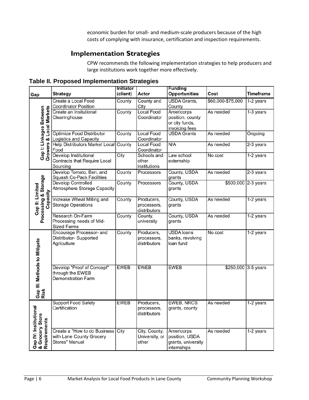economic burden for small‐ and medium‐scale producers because of the high costs of complying with insurance, certification and inspection requirements.

# **Implementation Strategies**

CPW recommends the following implementation strategies to help producers and large institutions work together more effectively.

|  |  |  | <b>Table II. Proposed Implementation Strategies</b> |  |
|--|--|--|-----------------------------------------------------|--|
|--|--|--|-----------------------------------------------------|--|

|                                                        |                                       | <b>Initiator</b> |                   | <b>Funding</b>       |                   |                     |
|--------------------------------------------------------|---------------------------------------|------------------|-------------------|----------------------|-------------------|---------------------|
| Gap                                                    | <b>Strategy</b>                       | (client)         | Actor             | <b>Opportunities</b> | Cost              | <b>Timeframe</b>    |
|                                                        | Create a Local Food                   | County           | County and        | <b>USDA Grants,</b>  | \$60,000-\$75,000 | 1-2 years           |
|                                                        | <b>Coordinator Position</b>           |                  | City              | County               |                   |                     |
| Gap I: Linkages Between<br>Growers & Local Markets     | Create an Insitutional                | County           | <b>Local Food</b> | Americorps           | As needed         | $1-3$ years         |
|                                                        | Clearinghouse                         |                  | Coordinator       | position, county     |                   |                     |
|                                                        |                                       |                  |                   | or city funds,       |                   |                     |
|                                                        |                                       |                  |                   | invoicing fees       |                   |                     |
|                                                        | Optimize Food Distributor             | County           | <b>Local Food</b> | <b>USDA Grants</b>   | As needed         | Ongoing             |
|                                                        | <b>Logistics and Capacity</b>         |                  | Coordinator       |                      |                   |                     |
|                                                        | <b>Help Distributors Market Local</b> | County           | <b>Local Food</b> | N/A                  | As needed         | 2-3 years           |
|                                                        | Food                                  |                  | Coordinator       |                      |                   |                     |
|                                                        | Develop Institutional                 | City             | Schools and       | Law school           | No cost           | 1-2 years           |
|                                                        | Contracts that Require Local          |                  | other             | externship           |                   |                     |
|                                                        | Sourcing                              |                  | institutions      |                      |                   |                     |
|                                                        | Develop Tomato, Ben, and              | County           | Processors        | County, USDA         | As needed         | 2-3 years           |
|                                                        | <b>Squash Co-Pack Facilities</b>      |                  |                   | grants               |                   |                     |
|                                                        | <b>Develop Controlled</b>             | County           | Processors        | County, USDA         |                   | \$500,000 2-3 years |
| Processing & Storage<br>Gap II: Limited                | <b>Atmosphere Storage Capacity</b>    |                  |                   | grants               |                   |                     |
| apacity                                                | Increase Wheat Milling and            | County           | Producers,        | County, USDA         | As needed         | 1-2 years           |
|                                                        | <b>Storage Operations</b>             |                  | processors,       | grants               |                   |                     |
|                                                        |                                       |                  | distributors      |                      |                   |                     |
|                                                        | Research On-Farm                      | County           | County,           | County, USDA         | As needed         | 1-2 years           |
|                                                        | Processing needs of Mid-              |                  | university        | grants               |                   |                     |
|                                                        | <b>Sized Farms</b>                    |                  |                   |                      |                   |                     |
|                                                        | Encourage Processor- and              | County           | Producers,        | <b>USDA</b> loans    | No cost           | $1-2$ years         |
|                                                        | Distributor-Supported                 |                  | processors,       | banks, revolving     |                   |                     |
|                                                        | Agriculture                           |                  | distributors      | loan fund            |                   |                     |
|                                                        |                                       |                  |                   |                      |                   |                     |
|                                                        |                                       |                  |                   |                      |                   |                     |
|                                                        |                                       |                  |                   |                      |                   |                     |
|                                                        | Develop "Proof of Concept"            | <b>EWEB</b>      | <b>EWEB</b>       | <b>EWEB</b>          |                   | \$250,000 3-5 years |
|                                                        | through the EWEB                      |                  |                   |                      |                   |                     |
|                                                        | <b>Demonstration Farm</b>             |                  |                   |                      |                   |                     |
|                                                        |                                       |                  |                   |                      |                   |                     |
|                                                        |                                       |                  |                   |                      |                   |                     |
| Gap III: Methods to Mitigate<br>Risk                   |                                       |                  |                   |                      |                   |                     |
|                                                        | <b>Support Food Safety</b>            | <b>EWEB</b>      | Producers,        | <b>EWEB, NRCS</b>    | As needed         | 1-2 years           |
| Γã                                                     | Certification                         |                  | processors,       | grants, county       |                   |                     |
|                                                        |                                       |                  | distributors      |                      |                   |                     |
|                                                        |                                       |                  |                   |                      |                   |                     |
| Gap IV: Institutior<br>& Grocery Store<br>Requirements |                                       |                  |                   |                      |                   |                     |
|                                                        | Create a "How to do Business"         | City             | City, County,     | Americorps           | As needed         | 1-2 years           |
|                                                        | with Lane County Grocery              |                  | University, or    | position, USDA       |                   |                     |
|                                                        | Stores" Manual                        |                  | other             | grants, university   |                   |                     |
|                                                        |                                       |                  |                   | internships          |                   |                     |
|                                                        |                                       |                  |                   |                      |                   |                     |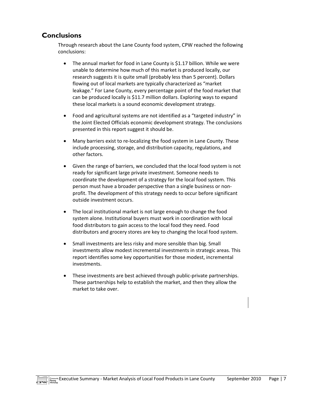## **Conclusions**

Through research about the Lane County food system, CPW reached the following conclusions:

- The annual market for food in Lane County is \$1.17 billion. While we were unable to determine how much of this market is produced locally, our research suggests it is quite small (probably less than 5 percent). Dollars flowing out of local markets are typically characterized as "market leakage." For Lane County, every percentage point of the food market that can be produced locally is \$11.7 million dollars. Exploring ways to expand these local markets is a sound economic development strategy.
- Food and agricultural systems are not identified as a "targeted industry" in the Joint Elected Officials economic development strategy. The conclusions presented in this report suggest it should be.
- Many barriers exist to re-localizing the food system in Lane County. These include processing, storage, and distribution capacity, regulations, and other factors.
- Given the range of barriers, we concluded that the local food system is not ready for significant large private investment. Someone needs to coordinate the development of a strategy for the local food system. This person must have a broader perspective than a single business or non‐ profit. The development of this strategy needs to occur before significant outside investment occurs.
- The local institutional market is not large enough to change the food system alone. Institutional buyers must work in coordination with local food distributors to gain access to the local food they need. Food distributors and grocery stores are key to changing the local food system.
- Small investments are less risky and more sensible than big. Small investments allow modest incremental investments in strategic areas. This report identifies some key opportunities for those modest, incremental investments.
- These investments are best achieved through public‐private partnerships. These partnerships help to establish the market, and then they allow the market to take over.